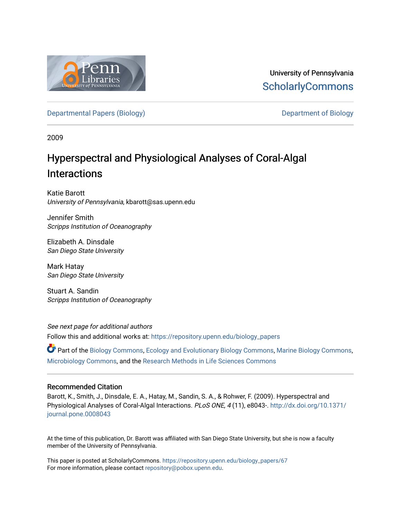

University of Pennsylvania **ScholarlyCommons** 

[Departmental Papers \(Biology\)](https://repository.upenn.edu/biology_papers) and Department of Biology

2009

# Hyperspectral and Physiological Analyses of Coral-Algal **Interactions**

Katie Barott University of Pennsylvania, kbarott@sas.upenn.edu

Jennifer Smith Scripps Institution of Oceanography

Elizabeth A. Dinsdale San Diego State University

Mark Hatay San Diego State University

Stuart A. Sandin Scripps Institution of Oceanography

See next page for additional authors Follow this and additional works at: [https://repository.upenn.edu/biology\\_papers](https://repository.upenn.edu/biology_papers?utm_source=repository.upenn.edu%2Fbiology_papers%2F67&utm_medium=PDF&utm_campaign=PDFCoverPages) 

Part of the [Biology Commons,](http://network.bepress.com/hgg/discipline/41?utm_source=repository.upenn.edu%2Fbiology_papers%2F67&utm_medium=PDF&utm_campaign=PDFCoverPages) [Ecology and Evolutionary Biology Commons](http://network.bepress.com/hgg/discipline/14?utm_source=repository.upenn.edu%2Fbiology_papers%2F67&utm_medium=PDF&utm_campaign=PDFCoverPages), [Marine Biology Commons](http://network.bepress.com/hgg/discipline/1126?utm_source=repository.upenn.edu%2Fbiology_papers%2F67&utm_medium=PDF&utm_campaign=PDFCoverPages), [Microbiology Commons](http://network.bepress.com/hgg/discipline/48?utm_source=repository.upenn.edu%2Fbiology_papers%2F67&utm_medium=PDF&utm_campaign=PDFCoverPages), and the [Research Methods in Life Sciences Commons](http://network.bepress.com/hgg/discipline/1385?utm_source=repository.upenn.edu%2Fbiology_papers%2F67&utm_medium=PDF&utm_campaign=PDFCoverPages) 

### Recommended Citation

Barott, K., Smith, J., Dinsdale, E. A., Hatay, M., Sandin, S. A., & Rohwer, F. (2009). Hyperspectral and Physiological Analyses of Coral-Algal Interactions. PLoS ONE, 4 (11), e8043-. [http://dx.doi.org/10.1371/](http://dx.doi.org/10.1371/journal.pone.0008043) [journal.pone.0008043](http://dx.doi.org/10.1371/journal.pone.0008043) 

At the time of this publication, Dr. Barott was affiliated with San Diego State University, but she is now a faculty member of the University of Pennsylvania.

This paper is posted at ScholarlyCommons. [https://repository.upenn.edu/biology\\_papers/67](https://repository.upenn.edu/biology_papers/67) For more information, please contact [repository@pobox.upenn.edu.](mailto:repository@pobox.upenn.edu)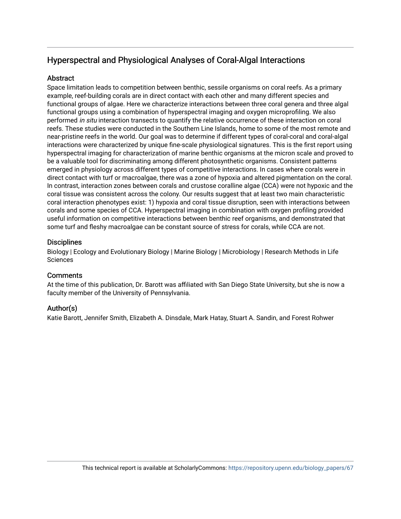## Hyperspectral and Physiological Analyses of Coral-Algal Interactions

## **Abstract**

Space limitation leads to competition between benthic, sessile organisms on coral reefs. As a primary example, reef-building corals are in direct contact with each other and many different species and functional groups of algae. Here we characterize interactions between three coral genera and three algal functional groups using a combination of hyperspectral imaging and oxygen microprofiling. We also performed in situ interaction transects to quantify the relative occurrence of these interaction on coral reefs. These studies were conducted in the Southern Line Islands, home to some of the most remote and near-pristine reefs in the world. Our goal was to determine if different types of coral-coral and coral-algal interactions were characterized by unique fine-scale physiological signatures. This is the first report using hyperspectral imaging for characterization of marine benthic organisms at the micron scale and proved to be a valuable tool for discriminating among different photosynthetic organisms. Consistent patterns emerged in physiology across different types of competitive interactions. In cases where corals were in direct contact with turf or macroalgae, there was a zone of hypoxia and altered pigmentation on the coral. In contrast, interaction zones between corals and crustose coralline algae (CCA) were not hypoxic and the coral tissue was consistent across the colony. Our results suggest that at least two main characteristic coral interaction phenotypes exist: 1) hypoxia and coral tissue disruption, seen with interactions between corals and some species of CCA. Hyperspectral imaging in combination with oxygen profiling provided useful information on competitive interactions between benthic reef organisms, and demonstrated that some turf and fleshy macroalgae can be constant source of stress for corals, while CCA are not.

## **Disciplines**

Biology | Ecology and Evolutionary Biology | Marine Biology | Microbiology | Research Methods in Life Sciences

## **Comments**

At the time of this publication, Dr. Barott was affiliated with San Diego State University, but she is now a faculty member of the University of Pennsylvania.

## Author(s)

Katie Barott, Jennifer Smith, Elizabeth A. Dinsdale, Mark Hatay, Stuart A. Sandin, and Forest Rohwer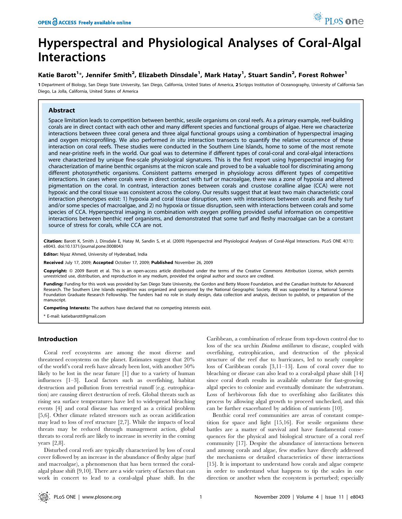# Hyperspectral and Physiological Analyses of Coral-Algal Interactions

### Katie Barott $^{1*}$ , Jennifer Smith $^{2}$ , Elizabeth Dinsdale $^{1}$ , Mark Hatay $^{1}$ , Stuart Sandin $^{2}$ , Forest Rohwer $^{1}$

1 Department of Biology, San Diego State University, San Diego, California, United States of America, 2 Scripps Institution of Oceanography, University of California San Diego, La Jolla, California, United States of America

#### Abstract

Space limitation leads to competition between benthic, sessile organisms on coral reefs. As a primary example, reef-building corals are in direct contact with each other and many different species and functional groups of algae. Here we characterize interactions between three coral genera and three algal functional groups using a combination of hyperspectral imaging and oxygen microprofiling. We also performed in situ interaction transects to quantify the relative occurrence of these interaction on coral reefs. These studies were conducted in the Southern Line Islands, home to some of the most remote and near-pristine reefs in the world. Our goal was to determine if different types of coral-coral and coral-algal interactions were characterized by unique fine-scale physiological signatures. This is the first report using hyperspectral imaging for characterization of marine benthic organisms at the micron scale and proved to be a valuable tool for discriminating among different photosynthetic organisms. Consistent patterns emerged in physiology across different types of competitive interactions. In cases where corals were in direct contact with turf or macroalgae, there was a zone of hypoxia and altered pigmentation on the coral. In contrast, interaction zones between corals and crustose coralline algae (CCA) were not hypoxic and the coral tissue was consistent across the colony. Our results suggest that at least two main characteristic coral interaction phenotypes exist: 1) hypoxia and coral tissue disruption, seen with interactions between corals and fleshy turf and/or some species of macroalgae, and 2) no hypoxia or tissue disruption, seen with interactions between corals and some species of CCA. Hyperspectral imaging in combination with oxygen profiling provided useful information on competitive interactions between benthic reef organisms, and demonstrated that some turf and fleshy macroalgae can be a constant source of stress for corals, while CCA are not.

Citation: Barott K, Smith J, Dinsdale E, Hatay M, Sandin S, et al. (2009) Hyperspectral and Physiological Analyses of Coral-Algal Interactions. PLoS ONE 4(11): e8043. doi:10.1371/journal.pone.0008043

Editor: Niyaz Ahmed, University of Hyderabad, India

Received July 17, 2009; Accepted October 17, 2009; Published November 26, 2009

Copyright: @ 2009 Barott et al. This is an open-access article distributed under the terms of the Creative Commons Attribution License, which permits unrestricted use, distribution, and reproduction in any medium, provided the original author and source are credited.

Funding: Funding for this work was provided by San Diego State University, the Gordon and Betty Moore Foundation, and the Canadian Institute for Advanced Research. The Southern Line Islands expedition was organized and sponsored by the National Geographic Society. KB was supported by a National Science Foundation Graduate Research Fellowship. The funders had no role in study design, data collection and analysis, decision to publish, or preparation of the manuscript.

Competing Interests: The authors have declared that no competing interests exist.

\* E-mail: katiebarott@gmail.com

#### Introduction

Coral reef ecosystems are among the most diverse and threatened ecosystems on the planet. Estimates suggest that 20% of the world's coral reefs have already been lost, with another 50% likely to be lost in the near future [1] due to a variety of human influences [1–3]. Local factors such as overfishing, habitat destruction and pollution from terrestrial runoff (e.g. eutrophication) are causing direct destruction of reefs. Global threats such as rising sea surface temperatures have led to widespread bleaching events [4] and coral disease has emerged as a critical problem [5,6]. Other climate related stressors such as ocean acidification may lead to loss of reef structure [2,7]. While the impacts of local threats may be reduced through management action, global threats to coral reefs are likely to increase in severity in the coming years [2,8].

Disturbed coral reefs are typically characterized by loss of coral cover followed by an increase in the abundance of fleshy algae (turf and macroalgae), a phenomenon that has been termed the coralalgal phase shift [9,10]. There are a wide variety of factors that can work in concert to lead to a coral-algal phase shift. In the

Caribbean, a combination of release from top-down control due to loss of the sea urchin Diadema antillarum to disease, coupled with overfishing, eutrophication, and destruction of the physical structure of the reef due to hurricanes, led to nearly complete loss of Caribbean corals [3,11–13]. Loss of coral cover due to bleaching or disease can also lead to a coral-algal phase shift [14] since coral death results in available substrate for fast-growing algal species to colonize and eventually dominate the substratum. Loss of herbivorous fish due to overfishing also facilitates this process by allowing algal growth to proceed unchecked, and this can be further exacerbated by addition of nutrients [10].

Benthic coral reef communities are areas of constant competition for space and light [15,16]. For sessile organisms these battles are a matter of survival and have fundamental consequences for the physical and biological structure of a coral reef community [17]. Despite the abundance of interactions between and among corals and algae, few studies have directly addressed the mechanisms or detailed characteristics of these interactions [15]. It is important to understand how corals and algae compete in order to understand what happens to tip the scales in one direction or another when the ecosystem is perturbed; especially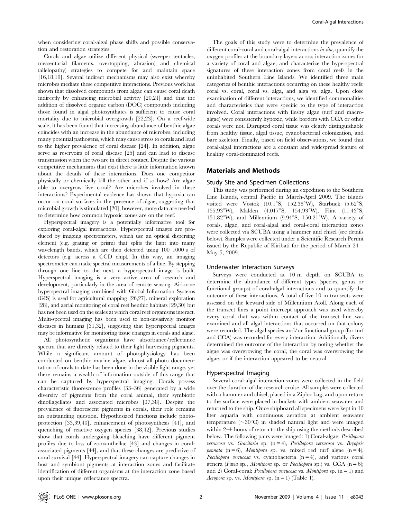Corals and algae utilize different physical (sweeper tentacles, messentarial filaments, overtopping, abrasion) and chemical (allelopathy) strategies to compete for and maintain space [16,18,19]. Several indirect mechanisms may also exist whereby microbes mediate these competitive interactions. Previous work has shown that dissolved compounds from algae can cause coral death indirectly by enhancing microbial activity [20,21] and that the addition of dissolved organic carbon (DOC) compounds including those found in algal photosynthates is sufficient to cause coral mortality due to microbial overgrowth [22,23]. On a reef-wide scale, it has been found that increasing abundance of benthic algae coincides with an increase in the abundance of microbes, including many potential pathogens, which may cause stress to corals and lead to the higher prevalence of coral disease [24]. In addition, algae serve as reservoirs of coral disease [25] and can lead to disease transmission when the two are in direct contact. Despite the various competitive mechanisms that exist there is little information known about the details of these interactions. Does one competitor physically or chemically kill the other and if so how? Are algae able to overgrow live coral? Are microbes involved in these interactions? Experimental evidence has shown that hypoxia can occur on coral surfaces in the presence of algae, suggesting that microbial growth is stimulated [20], however, more data are needed to determine how common hypoxic zones are on the reef.

Hyperspectral imagery is a potentially informative tool for exploring coral-algal interactions. Hyperspectral images are produced by imaging spectrometers, which use an optical dispersing element (e.g. grating or prism) that splits the light into many wavelength bands, which are then detected using 100–1000 s of detectors (e.g. across a CCD chip). In this way, an imaging spectrometer can make spectral measurements of a line. By stepping through one line to the next, a hyperspectral image is built. Hyperspectral imaging is a very active area of research and development, particularly in the area of remote sensing. Airborne hyperspectral imaging combined with Global Information Systems (GIS) is used for agricultural mapping [26,27], mineral exploration [28], and aerial monitoring of coral reef benthic habitats [29,30] but has not been used on the scales at which coral reef organisms interact. Multi-spectral imaging has been used to non-invasively monitor diseases in humans [31,32], suggesting that hyperspectral images may be informative for monitoring tissue changes in corals and algae.

All photosynthetic organisms have absorbance/reflectance spectra that are directly related to their light harvesting pigments. While a significant amount of photophysiology has been conducted on benthic marine algae, almost all photo documentation of corals to date has been done in the visible light range, yet there remains a wealth of information outside of this range that can be captured by hyperspectral imaging. Corals possess characteristic fluorescence profiles [33–36] generated by a wide diversity of pigments from the coral animal, their symbiotic dinoflagellates and associated microbes [37,38]. Despite the prevalence of fluorescent pigments in corals, their role remains an outstanding question. Hypothesized functions include photoprotection [33,39,40], enhancement of photosynthesis [41], and quenching of reactive oxygen species [38,42]. Previous studies show that corals undergoing bleaching have different pigment profiles due to loss of zooxanthellae [43] and changes in coralassociated pigments [44], and that these changes are predictive of coral survival [44]. Hyperspectral imagery can capture changes in host and symbiont pigments at interaction zones and facilitate identification of different organisms at the interaction zone based upon their unique reflectance spectra.

The goals of this study were to determine the prevalence of different coral-coral and coral-algal interactions in situ, quantify the oxygen profiles at the boundary layers across interaction zones for a variety of coral and algae, and characterize the hyperspectral signatures of these interaction zones from coral reefs in the uninhabited Southern Line Islands. We identified three main categories of benthic interactions occurring on these healthy reefs: coral vs. coral, coral vs. alga, and alga vs. alga. Upon close examination of different interactions, we identified commonalities and characteristics that were specific to the type of interaction involved. Coral interactions with fleshy algae (turf and macroalgae) were consistently hypoxic, while borders with CCA or other corals were not. Disrupted coral tissue was clearly distinguishable from healthy tissue, algal tissue, cyanobacterial colonization, and bare skeleton. Finally, based on field observations, we found that coral-algal interactions are a constant and widespread feature of healthy coral-dominated reefs.

#### Materials and Methods

#### Study Site and Specimen Collections

This study was performed during an expedition to the Southern Line Islands, central Pacific in March-April 2009. The islands visited were Vostok (10.1°S, 152.38°W), Starbuck (5.62°S, 155.93°W), Malden (4.017°S, 154.93°W), Flint (11.43°S, 151.82°W), and Millennium (9.94°S, 150.21°W). A variety of corals, algae, and coral-algal and coral-coral interaction zones were collected via SCUBA using a hammer and chisel (see details below). Samples were collected under a Scientific Research Permit issued by the Republic of Kiribati for the period of March 24 – May 5, 2009.

#### Underwater Interaction Surveys

Surveys were conducted at 10 m depth on SCUBA to determine the abundance of different types (species, genus or functional groups) of coral-algal interactions and to quantify the outcome of these interactions. A total of five 10 m transects were assessed on the leeward side of Millennium Atoll. Along each of the transect lines a point intercept approach was used whereby every coral that was within contact of the transect line was examined and all algal interactions that occurred on that colony were recorded. The algal species and/or functional group (for turf and CCA) was recorded for every interaction. Additionally divers determined the outcome of the interaction by noting whether the algae was overgrowing the coral, the coral was overgrowing the algae, or if the interaction appeared to be neutral.

#### Hyperspectral Imaging

Several coral-algal interaction zones were collected in the field over the duration of the research cruise. All samples were collected with a hammer and chisel, placed in a Ziploc bag, and upon return to the surface were placed in buckets with ambient seawater and returned to the ship. Once shipboard all specimens were kept in 10 liter aquaria with continuous aeration at ambient seawater temperature  $(\sim 30^{\circ}C)$  in shaded natural light and were imaged within 2–4 hours of return to the ship using the methods described below. The following pairs were imaged: 1) Coral-algae: Pocillopora verrucosa vs. Gracilaria sp. (n = 4), Pocillopora verrucosa vs. Bryopsis pennata  $(n = 6)$ , Montipora sp. vs. mixed red turf algae  $(n = 4)$ , Pocillopora verrucosa vs. cyanobacteria  $(n = 4)$ , and various coral genera (Favia sp., Montipora sp. or Pocillopora sp.) vs. CCA  $(n = 6)$ ; and 2) Coral-coral: *Pocillopora verrucosa* vs. *Montipora* sp.  $(n = 1)$  and Acropora sp. vs. Montipora sp.  $(n = 1)$  (Table 1).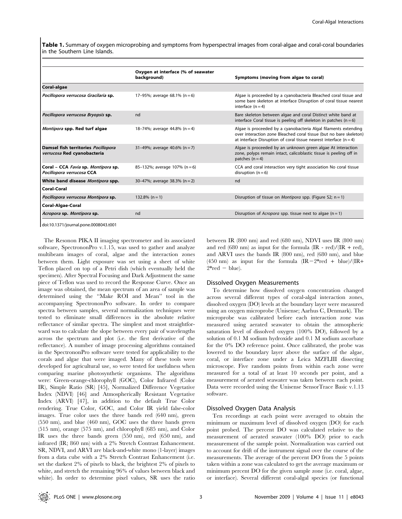Table 1. Summary of oxygen microprobing and symptoms from hyperspectral images from coral-algae and coral-coral boundaries in the Southern Line Islands.

|                                                                    | Oxygen at interface (% of seawater<br>background) | Symptoms (moving from algae to coral)                                                                                                                                                                      |
|--------------------------------------------------------------------|---------------------------------------------------|------------------------------------------------------------------------------------------------------------------------------------------------------------------------------------------------------------|
|                                                                    |                                                   |                                                                                                                                                                                                            |
| Coral-algae                                                        |                                                   |                                                                                                                                                                                                            |
| Pocillopora verrucosa Gracilaria sp.                               | 17-95%; average 68.1% (n = 6)                     | Algae is proceeded by a cyanobacteria Bleached coral tissue and<br>some bare skeleton at interface Disruption of coral tissue nearest<br>interface $(n = 4)$                                               |
| Pocillopora verrucosa Bryopsis sp.                                 | nd                                                | Bare skeleton between algae and coral Distinct white band at<br>interface Coral tissue is peeling off skeleton in patches $(n = 6)$                                                                        |
| Montipora spp. Red turf algae                                      | 18-74%; average 44.8% $(n = 4)$                   | Algae is proceeded by a cyanobacteria Algal filaments extending<br>over interaction zone Bleached coral tissue (but no bare skeleton)<br>at interface Disruption of coral tissue nearest interface $(n=4)$ |
| Damsel fish territories Pocillopora<br>verrucosa Red cyanobacteria | 31-49%; average 40.6% $(n = 7)$                   | Algae is proceeded by an unknown green algae At interaction<br>zone, polyps remain intact, calicoblastic tissue is peeling off in<br>patches $(n=4)$                                                       |
| Coral - CCA Favia sp. Montipora sp.<br>Pocillopora verrucosa CCA   | 85-132%; average 107% (n = 6)                     | CCA and coral interaction very tight association No coral tissue<br>disruption $(n=6)$                                                                                                                     |
| White band disease Montipora spp.                                  | 30-47%; average 38.3% (n = 2)                     | nd                                                                                                                                                                                                         |
| l Coral-Coral                                                      |                                                   |                                                                                                                                                                                                            |
| Pocillopora verrucosa Montipora sp.                                | $132.8\% (n=1)$                                   | Disruption of tissue on <i>Montipora</i> spp. (Figure S2; $n = 1$ )                                                                                                                                        |
| Coral-Algae-Coral                                                  |                                                   |                                                                                                                                                                                                            |
| Acropora sp. Montipora sp.                                         | nd                                                | Disruption of Acropora spp. tissue next to algae $(n = 1)$                                                                                                                                                 |

doi:10.1371/journal.pone.0008043.t001

The Resonon PIKA II imaging spectrometer and its associated software, SpectrononPro v.1.15, was used to gather and analyze multibeam images of coral, algae and the interaction zones between them. Light exposure was set using a sheet of white Teflon placed on top of a Petri dish (which eventually held the specimen). After Spectral Focusing and Dark Adjustment the same piece of Teflon was used to record the Response Curve. Once an image was obtained, the mean spectrum of an area of sample was determined using the ''Make ROI and Mean'' tool in the accompanying SpectrononPro software. In order to compare spectra between samples, several normalization techniques were tested to eliminate small differences in the absolute relative reflectance of similar spectra. The simplest and most straightforward was to calculate the slope between every pair of wavelengths across the spectrum and plot (i.e. the first derivative of the reflectance). A number of image processing algorithms contained in the SpectrononPro software were tested for applicability to the corals and algae that were imaged. Many of these tools were developed for agricultural use, so were tested for usefulness when comparing marine photosynthetic organisms. The algorithms were: Green-orange-chlorophyll (GOC), Color Infrared (Color IR), Simple Ratio (SR) [45], Normalized Difference Vegetative Index (NDVI) [46] and Atmospherically Resistant Vegetative Index (ARVI) [47], in addition to the default True Color rendering. True Color, GOC, and Color IR yield false-color images. True color uses the three bands red (640 nm), green (550 nm), and blue (460 nm), GOC uses the three bands green (515 nm), orange (575 nm), and chlorophyll (685 nm), and Color IR uses the three bands green (550 nm), red (650 nm), and infrared (IR; 860 nm) with a 2% Stretch Contrast Enhancement. SR, NDVI, and ARVI are black-and-white mono (1-layer) images from a data cube with a 2% Stretch Contrast Enhancement (i.e. set the darkest 2% of pixels to black, the brightest 2% of pixels to white, and stretch the remaining 96% of values between black and white). In order to determine pixel values, SR uses the ratio

between IR (800 nm) and red (680 nm), NDVI uses IR (800 nm) and red (680 nm) as input for the formula  $(IR - red)/(IR + red)$ , and ARVI uses the bands IR (800 nm), red (680 nm), and blue (450 nm) as input for the formula  $(IR-2*red + blue)/(IR+$  $2*red - blue$ .

#### Dissolved Oxygen Measurements

To determine how dissolved oxygen concentration changed across several different types of coral-algal interaction zones, dissolved oxygen (DO) levels at the boundary layer were measured using an oxygen microprobe (Unisense; Aarhus C, Denmark). The microprobe was calibrated before each interaction zone was measured using aerated seawater to obtain the atmospheric saturation level of dissolved oxygen (100% DO), followed by a solution of 0.1 M sodium hydroxide and 0.1 M sodium ascorbate for the 0% DO reference point. Once calibrated, the probe was lowered to the boundary layer above the surface of the algae, coral, or interface zone under a Leica MZFLIII dissecting microscope. Five random points from within each zone were measured for a total of at least 10 seconds per point, and a measurement of aerated seawater was taken between each point. Data were recorded using the Unisense SensorTrace Basic v.1.13 software.

#### Dissolved Oxygen Data Analysis

Ten recordings at each point were averaged to obtain the minimum or maximum level of dissolved oxygen (DO) for each point probed. The percent DO was calculated relative to the measurement of aerated seawater (100% DO) prior to each measurement of the sample point. Normalization was carried out to account for drift of the instrument signal over the course of the measurements. The average of the percent DO from the 5 points taken within a zone was calculated to get the average maximum or minimum percent DO for the given sample zone (i.e. coral, algae, or interface). Several different coral-algal species (or functional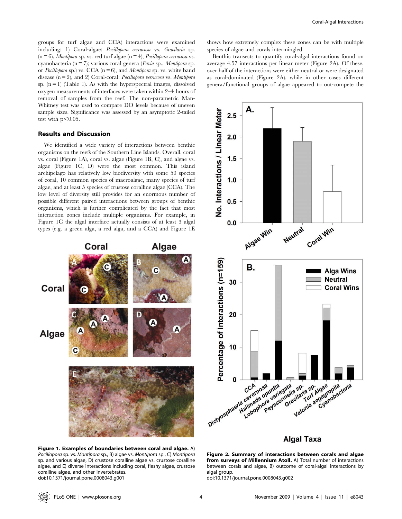groups for turf algae and CCA) interactions were examined including: 1) Coral-algae: Pocillopora verrucosa vs. Gracilaria sp.  $(n = 6)$ , Montipora sp. vs. red turf algae  $(n = 4)$ , Pocillopora verrucosa vs. cyanobacteria (n = 7); various coral genera (Favia sp., Montipora sp. or *Pocillopora* sp.) vs. CCA ( $n = 6$ ), and *Montipora* sp. vs. white band disease  $(n = 2)$ , and 2) Coral-coral: *Pocillopora verrucosa* vs. *Montipora* sp.  $(n = 1)$  (Table 1). As with the hyperspectral images, dissolved oxygen measurements of interfaces were taken within 2–4 hours of removal of samples from the reef. The non-parametric Man-Whitney test was used to compare DO levels because of uneven sample sizes. Significance was assessed by an asymptotic 2-tailed test with  $p<0.05$ .

#### Results and Discussion

We identified a wide variety of interactions between benthic organisms on the reefs of the Southern Line Islands. Overall, coral vs. coral (Figure 1A), coral vs. algae (Figure 1B, C), and algae vs. algae (Figure 1C, D) were the most common. This island archipelago has relatively low biodiversity with some 50 species of coral, 10 common species of macroalgae, many species of turf algae, and at least 5 species of crustose coralline algae (CCA). The low level of diversity still provides for an enormous number of possible different paired interactions between groups of benthic organisms, which is further complicated by the fact that most interaction zones include multiple organisms. For example, in Figure 1C the algal interface actually consists of at least 3 algal types (e.g. a green alga, a red alga, and a CCA) and Figure 1E



shows how extremely complex these zones can be with multiple species of algae and corals intermingled.

Benthic transects to quantify coral-algal interactions found on average 4.57 interactions per linear meter (Figure 2A). Of these, over half of the interactions were either neutral or were designated as coral-dominated (Figure 2A), while in other cases different genera/functional groups of algae appeared to out-compete the



**Algal Taxa** 

Figure 1. Examples of boundaries between coral and algae. A) Pocillopora sp. vs. Montipora sp., B) algae vs. Montipora sp., C) Montipora sp. and various algae, D) crustose coralline algae vs. crustose coralline algae, and E) diverse interactions including coral, fleshy algae, crustose coralline algae, and other invertebrates. doi:10.1371/journal.pone.0008043.g001

Figure 2. Summary of interactions between corals and algae from surveys of Millennium Atoll. A) Total number of interactions between corals and algae, B) outcome of coral-algal interactions by algal group.

doi:10.1371/journal.pone.0008043.g002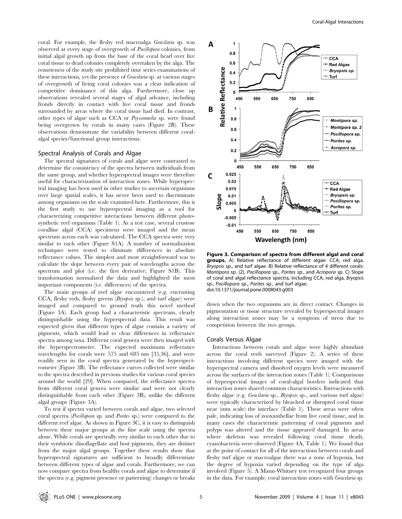coral. For example, the fleshy red macroalga Gracilaria sp. was observed at every stage of overgrowth of Pocillopora colonies, from initial algal growth up from the base of the coral head over live coral tissue to dead colonies completely overtaken by the alga. The remoteness of the study site prohibited time series examinations of these interactions, yet the presence of Gracilaria sp. at various stages of overgrowth of living coral colonies was a clear indication of competitive dominance of this alga. Furthermore, close up observations revealed several stages of algal advance, including fronds directly in contact with live coral tissue and fronds surrounded by areas where the coral tissue had died. In contrast, other types of algae such as CCA or Peyssonnelia sp. were found being overgrown by corals in many cases (Figure 2B). These observations demonstrate the variability between different coralalgal species/functional group interactions.

#### Spectral Analysis of Corals and Algae

The spectral signatures of corals and algae were contrasted to determine the consistency of the spectra between individuals from the same group, and whether hyperspectral images were therefore useful for characterization of interaction zones. While hyperspectral imaging has been used in other studies to ascertain organisms over large spatial scales, it has never been used to discriminate among organisms on the scale examined here. Furthermore, this is the first study to use hyperspectral imaging as a tool for characterizing competitive interactions between different photosynthetic reef organisms (Table 1). As a test case, several crustose coralline algal (CCA) specimens were imaged and the mean spectrum across each was calculated. The CCA spectra were very similar to each other (Figure S1A). A number of normalization techniques were tested to eliminate differences in absolute reflectance values. The simplest and most straightforward was to calculate the slope between every pair of wavelengths across the spectrum and plot (i.e. the first derivative; Figure S1B). This transformation normalized the data and highlighted the most important components (i.e. differences) of the spectra.

The main groups of reef algae encountered (e.g. encrusting CCA, fleshy reds, fleshy greens (Bryopsis sp.), and turf algae) were imaged and compared to ground truth this novel method (Figure 3A). Each group had a characteristic spectrum, clearly distinguishable using the hyperspectral data. This result was expected given that different types of algae contain a variety of pigments, which would lead to clear differences in reflectance spectra among taxa. Different coral genera were then imaged with the hyperspectrometer. The expected maximum reflectance wavelengths for corals were 575 and 685 nm [35,36], and were readily seen in the coral spectra generated by the hyperspectrometer (Figure 3B). The reflectance curves collected were similar to the spectra described in previous studies for various coral species around the world [29]. When compared, the reflectance spectra from different coral genera were similar and were not clearly distinguishable from each other (Figure 3B), unlike the different algal groups (Figure 3A).

To test if spectra varied between corals and algae, two selected coral spectra (Pocillopora sp. and Porites sp.) were compared to the different reef algae. As shown in Figure 3C, it is easy to distinguish between these major groups at the fine scale using the spectra alone. While corals are spectrally very similar to each other due to their symbiotic dinoflagellate and host pigments, they are distinct from the major algal groups. Together these results show that hyperspectral signatures are sufficient to broadly differentiate between different types of algae and corals. Furthermore, we can now compare spectra from healthy corals and algae to determine if the spectra (e.g. pigment presence or patterning) changes or breaks



Figure 3. Comparison of spectra from different algal and coral groups. A) Relative reflectance of different algae: CCA, red alga, Bryopsis sp., and turf algae. B) Relative reflectance of 4 different corals: Montipora sp. (2), Pocillopora sp., Porites sp., and Acropora sp. C) Slope of coral and algal reflectance spectra, including CCA, red alga, Bryopsis sp., Pocillopora sp., Porites sp., and turf algae. doi:10.1371/journal.pone.0008043.g003

down when the two organisms are in direct contact. Changes in pigmentation or tissue structure revealed by hyperspectral images along interaction zones may be a symptom of stress due to competition between the two groups.

#### Corals Versus Algae

Interactions between corals and algae were highly abundant across the coral reefs surveyed (Figure 2). A series of these interactions involving different species were imaged with the hyperspectral camera and dissolved oxygen levels were measured across the surfaces of the interaction zones (Table 1). Comparisons of hyperspectral images of coral-algal borders indicated that interaction zones shared common characteristics. Interactions with fleshy algae (e.g. Gracilaria sp., Bryopsis sp., and various turf algae) were typically characterized by bleached or disrupted coral tissue near (mm scale) the interface (Table 1). These areas were often pale, indicating loss of zooxanthellae from live coral tissue, and in many cases the characteristic patterning of coral pigments and polyps was altered and the tissue appeared damaged. In areas where skeleton was revealed following coral tissue death, cyanobacteria were observed (Figure 4A, Table 1). We found that at the point of contact for all of the interactions between corals and fleshy turf algae or macroalgae there was a zone of hypoxia, but the degree of hypoxia varied depending on the type of alga involved (Figure 5). A Mann-Whitney test recognized four groups in the data. For example, coral interaction zones with Gracilaria sp.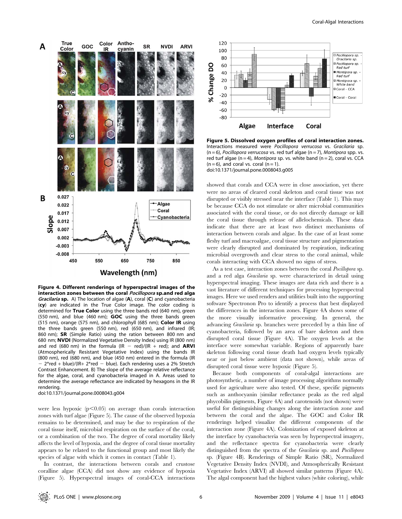

Figure 4. Different renderings of hyperspectral images of the interaction zones between the coral *Pocillopora* sp.and red alga Gracilaria sp. A) The location of algae (A), coral (C) and cyanobacteria (cy) are indicated in the True Color image. The color coding is determined for True Color using the three bands red (640 nm), green (550 nm), and blue (460 nm); **GOC** using the three bands green (515 nm), orange (575 nm), and chlorophyll (685 nm); Color IR using the three bands green (550 nm), red (650 nm), and infrared (IR; 860 nm); SR (Simple Ratio) using the ration between 800 nm and 680 nm; NVDI (Normalized Vegetative Density Index) using IR (800 nm) and red (680 nm) in the formula (IR - red)/(IR + red); and ARVI (Atmospherically Resistant Vegetative Index) using the bands IR (800 nm), red (680 nm), and blue (450 nm) entered in the formula (IR  $-2$ \*red + blue)/(IR+ 2\*red  $-$  blue). Each rendering uses a 2% Stretch Contrast Enhancement. B) The slope of the average relative reflectance for the algae, coral, and cyanobacteria imaged in A. Areas used to determine the average reflectance are indicated by hexagons in the IR rendering.

doi:10.1371/journal.pone.0008043.g004

were less hypoxic  $(p<0.05)$  on average than corals interaction zones with turf algae (Figure 5). The cause of the observed hypoxia remains to be determined, and may be due to respiration of the coral tissue itself, microbial respiration on the surface of the coral, or a combination of the two. The degree of coral mortality likely affects the level of hypoxia, and the degree of coral tissue mortality appears to be related to the functional group and most likely the species of algae with which it comes in contact (Table 1).

In contrast, the interactions between corals and crustose coralline algae (CCA) did not show any evidence of hypoxia (Figure 5). Hyperspectral images of coral-CCA interactions



Figure 5. Dissolved oxygen profiles of coral interaction zones. Interactions measured were Pocillopora verrucosa vs. Gracilaria sp.  $(n = 6)$ , Pocillopora verrucosa vs. red turf algae  $(n = 7)$ , Montipora spp. vs. red turf algae (n = 4), Montipora sp. vs. white band (n = 2), coral vs. CCA  $(n = 6)$ , and coral vs. coral  $(n = 1)$ . doi:10.1371/journal.pone.0008043.g005

showed that corals and CCA were in close association, yet there were no areas of cleared coral skeleton and coral tissue was not disrupted or visibly stressed near the interface (Table 1). This may be because CCA do not stimulate or alter microbial communities associated with the coral tissue, or do not directly damage or kill the coral tissue through release of allelochemicals. These data indicate that there are at least two distinct mechanisms of interaction between corals and algae. In the case of at least some fleshy turf and macroalgae, coral tissue structure and pigmentation were clearly disrupted and dominated by respiration, indicating microbial overgrowth and clear stress to the coral animal, while corals interacting with CCA showed no signs of stress.

As a test case, interaction zones between the coral Pocillopora sp. and a red alga Gracilaria sp. were characterized in detail using hyperspectral imaging. These images are data rich and there is a vast literature of different techniques for processing hyperspectral images. Here we used renders and utilities built into the supporting software Spectronon Pro to identify a process that best displayed the differences in the interaction zones. Figure 4A shows some of the more visually informative processing. In general, the advancing Gracilaria sp. branches were preceded by a thin line of cyanobacteria, followed by an area of bare skeleton and then disrupted coral tissue (Figure 4A). The oxygen levels at the interface were somewhat variable. Regions of apparently bare skeleton following coral tissue death had oxygen levels typically near or just below ambient (data not shown), while areas of disrupted coral tissue were hypoxic (Figure 5).

Because both components of coral-algal interactions are photosynthetic, a number of image processing algorithms normally used for agriculture were also tested. Of these, specific pigments such as anthocyanin (similar reflectance peaks as the red algal phycobilin pigments, Figure 4A) and carotenoids (not shown) were useful for distinguishing changes along the interaction zone and between the coral and the algae. The GOC and Color IR renderings helped visualize the different components of the interaction zone (Figure 4A). Colonization of exposed skeleton at the interface by cyanobacteria was seen by hyperspectral imagery, and the reflectance spectra for cyanobacteria were clearly distinguished from the spectra of the Gracilaria sp. and Pocillopora sp. (Figure 4B). Renderings of Simple Ratio (SR), Normalized Vegetative Density Index (NVDI), and Atmospherically Resistant Vegetative Index (ARVI) all showed similar patterns (Figure 4A). The algal component had the highest values (white coloring), while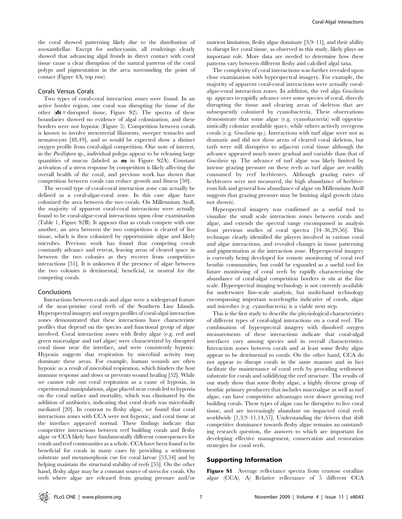the coral showed patterning likely due to the distribution of zooxanthellae. Except for anthocyanin, all renderings clearly showed that advancing algal fronds in direct contact with coral tissue cause a clear disruption of the natural patterns of the coral polyps and pigmentation in the area surrounding the point of contact (Figure 4A, top row).

#### Corals Versus Corals

Two types of coral-coral interaction zones were found. In an active border region, one coral was disrupting the tissue of the other  $d\mathbf{t} =$  disrupted tissue. Figure S2). The spectra of these boundaries showed no evidence of algal colonization, and these borders were not hypoxic (Figure 5). Competition between corals is known to involve mesenterial filaments, sweeper tentacles and nematocysts [48,49], and so would be expected show a distinct oxygen profile from coral-algal competition. One note of interest, in the Pocillopora sp., individual polyps appear to be releasing large quantities of mucus (labeled as **m** in Figure S2A). Constant activation of a stress response by competition is likely affecting the overall health of the coral, and previous work has shown that competition between corals can reduce growth and fitness [50].

The second type of coral-coral interaction zone can actually be defined as a coral-algae-coral zone. In this case algae have colonized the area between the two corals. On Millennium Atoll, the majority of apparent coral-coral interactions were actually found to be coral-algae-coral interactions upon close examination (Table 1, Figure S2B). It appears that as corals compete with one another, an area between the two competitors is cleared of live tissue, which is then colonized by opportunistic algae and likely microbes. Previous work has found that competing corals constantly advance and retreat, leaving areas of cleared space in between the two colonies as they recover from competitive interactions [51]. It is unknown if the presence of algae between the two colonies is detrimental, beneficial, or neutral for the competing corals.

#### Conclusions

Interactions between corals and algae were a widespread feature of the near-pristine coral reefs of the Southern Line Islands. Hyperspectral imagery and oxygen profiles of coral-algal interaction zones demonstrated that these interactions have characteristic profiles that depend on the species and functional group of algae involved. Coral interaction zones with fleshy algae (e.g. red and green macroalgae and turf algae) were characterized by disrupted coral tissue near the interface, and were consistently hypoxic. Hypoxia suggests that respiration by microbial activity may dominate these areas. For example, human wounds are often hypoxic as a result of microbial respiration, which hinders the host immune response and slows or prevents wound healing [52]. While we cannot rule out coral respiration as a cause of hypoxia, in experimental manipulations, algae placed near corals led to hypoxia on the coral surface and mortality, which was eliminated by the addition of antibiotics, indicating that coral death was microbially mediated [20]. In contrast to fleshy algae, we found that coral interactions zones with CCA were not hypoxic, and coral tissue at the interface appeared normal. These findings indicate that competitive interactions between reef building corals and fleshy algae or CCA likely have fundamentally different consequences for corals and reef communities as a whole. CCA have been found to be beneficial for corals in many cases by providing a settlement substrate and metamorphosis cue for coral larvae [53,54] and by helping maintain the structural stability of reefs [55]. On the other hand, fleshy algae may be a constant source of stress for corals. On reefs where algae are released from grazing pressure and/or

nutrient limitation, fleshy algae dominate [3,9–11], and their ability to disrupt live coral tissue, as observed in this study, likely plays an important role. More data are needed to determine how these patterns vary between different fleshy and calcified algal taxa.

The complexity of coral interactions was further revealed upon close examination with hyperspectral imagery. For example, the majority of apparent coral-coral interactions were actually coralalgae-coral interaction zones. In addition, the red alga Gracilaria sp. appears to rapidly advance over some species of coral, directly disrupting the tissue and clearing areas of skeleton that are subsequently colonized by cyanobacteria. These observations demonstrate that some algae (e.g. cyanobacteria) will opportunistically colonize available space, while others actively overgrow corals (e.g. Gracilaria sp.). Interactions with turf algae were not as dramatic and did not show areas of cleared coral skeleton, but turfs were still disruptive to adjacent coral tissue although the advance appeared much more gradual and variable than that of Gracilaria sp. The advance of turf algae was likely limited by intense grazing pressure on these reefs as turf algae are readily consumed by reef herbivores. Although grazing rates of herbivores were not measured, the high abundance of herbivorous fish and general low abundance of algae on Millennium Atoll suggests that grazing pressure may be limiting algal growth (data not shown).

Hyperspectral imagery was confirmed as a useful tool to visualize the small scale interaction zones between corals and algae, and extends the spectral range encompassed in analysis from previous studies of coral spectra [34–36,29,56]. This technique clearly identified the players involved in various coral and algae interactions, and revealed changes in tissue patterning and pigmentation at the interaction zone. Hyperspectral imagery is currently being developed for remote monitoring of coral reef benthic communities, but could be expanded as a useful tool for future monitoring of coral reefs by rapidly characterizing the abundance of coral-algal competition borders in situ at the fine scale. Hyperspectral imaging technology is not currently available for underwater fine-scale analysis, but multi-band technology encompassing important wavelengths indicative of corals, algae and microbes (e.g. cyanobacteria) is a viable next step.

This is the first study to describe the physiological characteristics of different types of coral-algal interactions on a coral reef. The combination of hyperspectral imagery with dissolved oxygen measurements of these interactions indicate that coral-algal interfaces vary among species and in overall characteristics. Interaction zones between corals and at least some fleshy algae appear to be detrimental to corals. On the other hand, CCA do not appear to disrupt corals in the same manner and in fact facilitate the maintenance of coral reefs by providing settlement substrate for corals and solidifying the reef structure. The results of our study show that some fleshy algae, a highly diverse group of benthic primary producers that includes macroalgae as well as turf algae, can have competitive advantages over slower growing reef building corals. These types of algae can be disruptive to live coral tissue, and are increasingly abundant on impacted coral reefs worldwide [1,3,9–11,14,57]. Understanding the drivers that shift competitive dominance towards fleshy algae remains an outstanding research question, the answers to which are important for developing effective management, conservation and restoration strategies for coral reefs.

#### Supporting Information

Figure S1 Average reflectance spectra from crustose coralline algae (CCA). A) Relative reflectance of 5 different CCA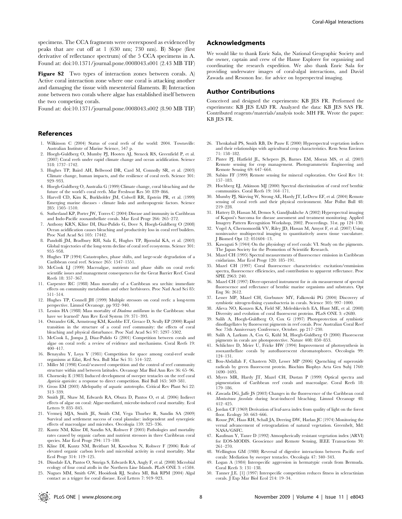specimens. The CCA fragments were overexposed as evidenced by peaks that are cut off at 1 (630 nm; 730 nm). B) Slope (first derivative of reflectance spectrum) of the 5 CCA specimens in A. Found at: doi:10.1371/journal.pone.0008043.s001 (2.43 MB TIF)

Figure S2 Two types of interaction zones between corals. A) Active coral interaction zone where one coral is attacking another and damaging the tissue with mesenterial filaments. B) Interaction zone between two corals where algae has established itself between the two competing corals.

Found at: doi:10.1371/journal.pone.0008043.s002 (8.90 MB TIF)

#### References

- 1. Wilkinson C (2004) Status of coral reefs of the world: 2004. Townsville: Australian Institute of Marine Science, 547 p.
- 2. Hoegh-Guldberg O, Mumby PJ, Hooten AJ, Steneck RS, Greenfield P, et al. (2007) Coral reefs under rapid climate change and ocean acidification. Science 318: 1737–1742.
- 3. Hughes TP, Baird AH, Bellwood DR, Card M, Connolly SR, et al. (2003) Climate change, human impacts, and the resilience of coral reefs. Science 301: 929–933.
- 4. Hoegh-Guldberg O, Australia G (1999) Climate change, coral bleaching and the future of the world's coral reefs. Mar Freshwat Res 50: 839–866.
- 5. Harvell CD, Kim K, Burkholder JM, Colwell RR, Epstein PR, et al. (1999) Emerging marine diseases - climate links and anthropogenic factors. Science 285: 1505–1510.
- 6. Sutherland KP, Porter JW, Torres C (2004) Disease and immunity in Caribbean and Indo-Pacific zooxanthellate corals. Mar Ecol Progr 266: 265–272.
- 7. Anthony KRN, Kline DI, Diaz-Pulido G, Dove S, Hoegh-Guldberg O (2008) Ocean acidification causes bleaching and productivity loss in coral reef builders. Proc Natl Acad Sci 105: 17442.
- 8. Pandolfi JM, Bradbury RH, Sala E, Hughes TP, Bjorndal KA, et al. (2003) Global trajectories of the long-term decline of coral reef ecosystems. Science 301: 955–958.
- 9. Hughes TP (1994) Catastrophes, phase shifts, and large-scale degradation of a Caribbean coral reef. Science 265: 1547–1551.
- 10. McCook LJ (1999) Macroalgae, nutrients and phase shifts on coral reefs: scientific issues and management consequences for the Great Barrier Reef. Coral Reefs 18: 357–367.
- 11. Carpenter RC (1988) Mass mortality of a Caribbean sea urchin: immediate effects on community metabolism and other herbivores. Proc Natl Acad Sci 85: 511–514.
- 12. Hughes TP, Connell JH (1999) Multiple stressors on coral reefs: a long-term perspective. Limnol Oceanogr. pp 932–940.
- 13. Lessios HA (1988) Mass mortality of Diadema antillarum in the Caribbean: what have we learned? Ann Rev Ecol System 19: 371–393.
- 14. Ostrander GK, Armstrong KM, Knobbe ET, Gerace D, Scully EP (2000) Rapid transition in the structure of a coral reef community: the effects of coral bleaching and physical disturbance. Proc Natl Acad Sci 97: 5297–5302.
- 15. McCook L, Jompa J, Diaz-Pulido G (2001) Competition between corals and algae on coral reefs: a review of evidence and mechanisms. Coral Reefs 19: 400–417.
- 16. Benayahu Y, Loya Y (1981) Competition for space among coral-reef sessile organisms at Eilat, Red Sea. Bull Mar Sci 31: 514–522.
- 17. Miller M (1998) Coral/seaweed competition and the control of reef community structure within and between latitudes. Oceanogr Mar Biol Ann Rev 36: 65–96.
- 18. Chornesky E (1983) Induced development of sweeper tentacles on the reef coral Agaricia agaricites: a response to direct competition. Biol Bull 165: 569-581.
- 19. Gross EM (2003) Allelopathy of aquatic autotrophs. Critical Rev Plant Sci 22: 313–339.
- 20. Smith JE, Shaw M, Edwards RA, Obura D, Pantos O, et al. (2006) Indirect effects of algae on coral: Algae-mediated, microbe-induced coral mortality. Ecol Letters 9: 835–845.
- 21. Vermeij MJA, Smith JE, Smith CM, Vega Thurber R, Sandin SA (2009) Survival and settlement success of coral planulae: independent and synergistic effects of macroalgae and microbes. Oecologia 159: 325–336.
- 22. Kuntz NM, Kline DI, Sandin SA, Rohwer F (2005) Pathologies and mortality rates caused by organic carbon and nutrient stressors in three Caribbean coral species. Mar Ecol Progr 294: 173–180.
- 23. Kline DI, Kuntz NM, Breitbart M, Knowlton N, Rohwer F (2006) Role of elevated organic carbon levels and microbial activity in coral mortality. Mar Ecol Progr 314: 119–125.
- 24. Dinsdale EA, Pantos O, Smriga S, Edwards RA, Angly F, et al. (2008) Microbial ecology of four coral atolls in the Northern Line Islands. PLoS ONE 3: e1584.
- 25. Nugues MM, Smith GW, Hooidonk RJ, Seabra MI, Bak RPM (2004) Algal contact as a trigger for coral disease. Ecol Letters 7: 919–923.

#### Acknowledgments

We would like to thank Enric Sala, the National Geographic Society and the owner, captain and crew of the Hanse Explorer for organizing and coordinating the research expedition. We also thank Enric Sala for providing underwater images of coral-algal interactions, and David Zawada and Resonon Inc. for advice on hyperspectral imaging.

#### Author Contributions

Conceived and designed the experiments: KB JES FR. Performed the experiments: KB JES EAD FR. Analyzed the data: KB JES SAS FR. Contributed reagents/materials/analysis tools: MH FR. Wrote the paper: KB JES FR.

- 26. Thenkabail PS, Smith RB, De Pauw E (2000) Hyperspectral vegetation indices and their relationships with agricultural crop characteristics. Rem Sens Environ 71: 158–182.
- 27. Pinter PJ, Hatfield JL, Schepers JS, Barnes EM, Moran MS, et al. (2003) Remote sensing for crop management. Photogrammetric Engineering and Remote Sensing 69: 647–664.
- 28. Sabins FF (1999) Remote sensing for mineral exploration. Ore Geol Rev 14: 157–183.
- 29. Hochberg EJ, Atkinson MJ (2000) Spectral discrimination of coral reef benthic communities. Coral Reefs 19: 164–171.
- 30. Mumby PJ, Skirving W, Strong AE, Hardy JT, LeDrew EF, et al. (2004) Remote sensing of coral reefs and their physical environment. Mar Pollut Bull 48: 219–228.
- 31. Hattery D, Hassan M, Demos S, Gandjbakhche A (2002) Hyperspectral imaging of Kaposi's Sarcoma for disease assessment and treatment monitoring. Applied Imagery Pattern Recognition Workshop, 2002. Proceedings. 31st. pp 124–130.
- 32. Vogel A, Chernomordik VV, Riley JD, Hassan M, Amyot F, et al. (2007) Using noninvasive multispectral imaging to quantitatively assess tissue vasculature. J Biomed Opt 12: 051604–13.
- 33. Kawaguti S (1944) On the physiology of reef corals: VI. Study on the pigments. The Japan Society for the Promotion of Scientific Research.
- 34. Mazel CH (1995) Spectral measurements of fluorescence emission in Caribbean cnidarians. Mar Ecol Progr 120: 185–191.
- 35. Mazel CH (1997) Coral fluorescence characteristics: excitation/emmission spectra, fluorescence efficiencies, and contribution to apparent reflectance. Proc SPIE 2963: 240.
- 36. Mazel CH (1997) Diver-operated instrument for in situ measurement of spectral fluorescence and reflectance of benthic marine organisms and substrates. Opt Eng 36: 2612.
- 37. Lesser MP, Mazel CH, Gorbunov MY, Falkowski PG (2004) Discovery of symbiotic nitrogen-fixing cyanobacteria in corals. Science 305: 997–1000.
- 38. Alieva NO, Konzen KA, Field SF, Meleshkevitch EA, Hunt ME, et al. (2008) Diversity and evolution of coral fluorescent proteins. PLoS ONE 3: e2680.
- 39. Salih A, Hoegh-Guldberg O, Cox G (1997) Photoprotection of symbiotic dinoflagellates by fluorescent pigments in reef corals. Proc Australian Coral Reef Soc 75th Anniversary Conference, October. pp 217–230.
- 40. Salih A, Larkum A, Cox G, Kühl M, Hoegh-Guldberg O (2000) Fluorescent pigments in corals are photoprotective. Nature 408: 850–853.
- 41. Schlichter D, Meier U, Fricke HW (1994) Improvement of photosynthesis in zooxanthellate corals by autofluorescent chromatophores. Oecologia 99: 124–131.
- 42. Bou-Abdallah F, Chasteen ND, Lesser MP (2006) Quenching of superoxide radicals by green fluorescent protein. Biochim Biophys Acta Gen Subj 1760: 1690–1695.
- 43. Myers MR, Hardy JT, Mazel CH, Dustan P (1999) Optical spectra and pigmentation of Caribbean reef corals and macroalgae. Coral Reefs 18: 179–186.
- 44. Zawada DG, Jaffe JS (2003) Changes in the fluorescence of the Caribbean coral Montastraea faveolata during heat-induced bleaching. Limnol Oceanogr 48: 412–425.
- 45. Jordan CF (1969) Derivation of leaf-area index from quality of light on the forest floor. Ecology 50: 663–666.
- 46. Rouse JW, Haas RH, Schall JA, Deering DW, Harlan JC (1974) Monitoring the vernal advancement of retrogradation of natural vegetation. Greenbelt, Md: NASA/GSFC.
- 47. Kaufman Y, Tanre D (1992) Atmospherically resistant vegetation index (ARVI) for EOS-MODIS. Geoscience and Remote Sensing, IEEE Transactions 30: 261–270.
- 48. Wellington GM (1980) Reversal of digestive interactions between Pacific reef corals: Mediation by sweeper tentacles. Oecologia 47: 340–343.
- 49. Logan A (1984) Interspecific aggression in hermatypic corals from Bermuda. Coral Reefs 3: 131–138.
- 50. Tanner J.E. [1] (1997) Interspecific competition reduces fitness in scleractinian corals. J Exp Mar Biol Ecol 214: 19–34.